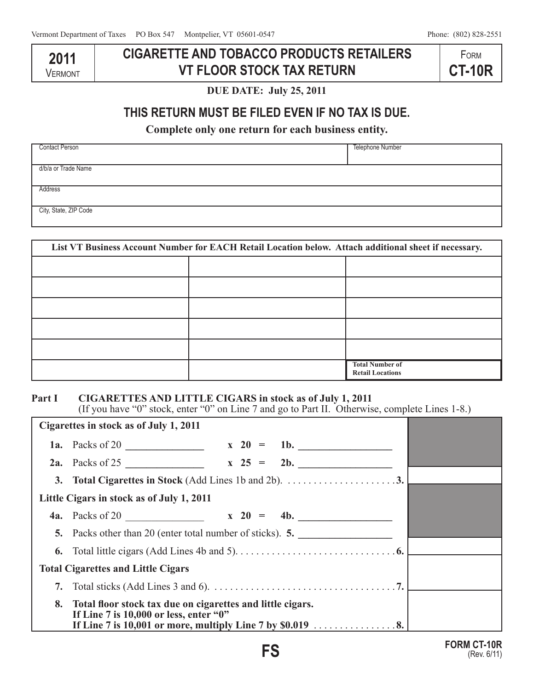**2011 VERMONT** 

# **CIGARETTE AND TOBACCO PRODUCTS RETAILERS VT FLOOR STOCK TAX RETURN**

**FORM CT-10R**

**DUE DATE: July 25, 2011**

# **THIS RETURN MUST BE FILED EVEN IF NO TAX IS DUE.**

**Complete only one return for each business entity.**

| <b>Contact Person</b> | Telephone Number |
|-----------------------|------------------|
| d/b/a or Trade Name   |                  |
| Address               |                  |
| City, State, ZIP Code |                  |

| List VT Business Account Number for EACH Retail Location below. Attach additional sheet if necessary. |  |                                                   |
|-------------------------------------------------------------------------------------------------------|--|---------------------------------------------------|
|                                                                                                       |  |                                                   |
|                                                                                                       |  |                                                   |
|                                                                                                       |  |                                                   |
|                                                                                                       |  |                                                   |
|                                                                                                       |  |                                                   |
|                                                                                                       |  | <b>Total Number of</b><br><b>Retail Locations</b> |

#### **Part I CIGARETTES AND LITTLE CIGARS in stock as of July 1, 2011**

(If you have "0" stock, enter "0" on Line 7 and go to Part II. Otherwise, complete Lines 1-8.)

| Cigarettes in stock as of July 1, 2011 |                                                                                                      |  |  |
|----------------------------------------|------------------------------------------------------------------------------------------------------|--|--|
|                                        | 1a. Packs of 20 $\frac{1}{20}$ x 20 =<br>1b. $\qquad$                                                |  |  |
|                                        | 2b.                                                                                                  |  |  |
|                                        | 3. Total Cigarettes in Stock (Add Lines 1b and 2b). $\dots \dots \dots \dots \dots \dots$            |  |  |
|                                        | Little Cigars in stock as of July 1, 2011                                                            |  |  |
|                                        | <b>4a.</b> Packs of 20 $\qquad \qquad$ x 20 =                                                        |  |  |
|                                        | 5. Packs other than 20 (enter total number of sticks). 5.                                            |  |  |
|                                        |                                                                                                      |  |  |
|                                        | <b>Total Cigarettes and Little Cigars</b>                                                            |  |  |
| 7.                                     |                                                                                                      |  |  |
| 8.                                     | Total floor stock tax due on cigarettes and little cigars.<br>If Line 7 is 10,000 or less, enter "0" |  |  |